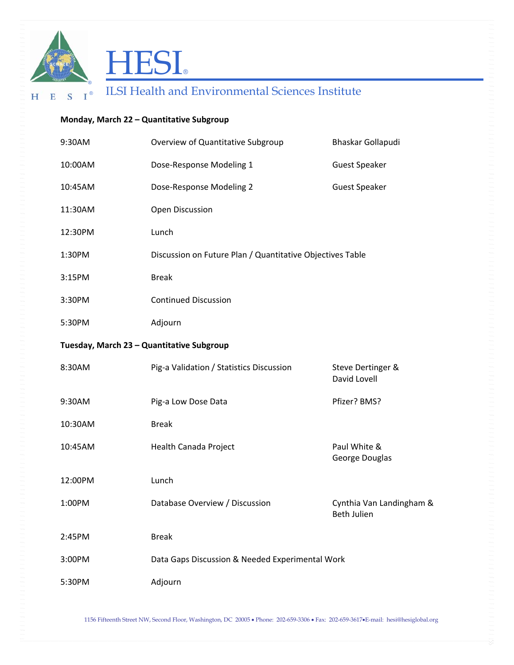



## HESI® **ELSI HESI**

## **Monday, March 22 – Quantitative Subgroup**

| 9:30AM                                    | Overview of Quantitative Subgroup                         | Bhaskar Gollapudi                       |  |
|-------------------------------------------|-----------------------------------------------------------|-----------------------------------------|--|
| 10:00AM                                   | Dose-Response Modeling 1                                  | <b>Guest Speaker</b>                    |  |
| 10:45AM                                   | Dose-Response Modeling 2                                  | <b>Guest Speaker</b>                    |  |
| 11:30AM                                   | Open Discussion                                           |                                         |  |
| 12:30PM                                   | Lunch                                                     |                                         |  |
| 1:30PM                                    | Discussion on Future Plan / Quantitative Objectives Table |                                         |  |
| 3:15PM                                    | <b>Break</b>                                              |                                         |  |
| 3:30PM                                    | <b>Continued Discussion</b>                               |                                         |  |
| 5:30PM                                    | Adjourn                                                   |                                         |  |
| Tuesday, March 23 - Quantitative Subgroup |                                                           |                                         |  |
| 8:30AM                                    | Pig-a Validation / Statistics Discussion                  | Steve Dertinger &<br>David Lovell       |  |
| 9:30AM                                    | Pig-a Low Dose Data                                       | Pfizer? BMS?                            |  |
| 10:30AM                                   | <b>Break</b>                                              |                                         |  |
| 10:45AM                                   | Health Canada Project                                     | Paul White &<br>George Douglas          |  |
| 12:00PM                                   | Lunch                                                     |                                         |  |
| 1:00PM                                    | Database Overview / Discussion                            | Cynthia Van Landingham &<br>Beth Julien |  |
| 2:45PM                                    | <b>Break</b>                                              |                                         |  |
| 3:00PM                                    | Data Gaps Discussion & Needed Experimental Work           |                                         |  |
| 5:30PM                                    | Adjourn                                                   |                                         |  |

1156 Fifteenth Street NW, Second Floor, Washington, DC 20005 • Phone: 202-659-3306 • Fax: 202-659-3617•E-mail: hesi@hesiglobal.org